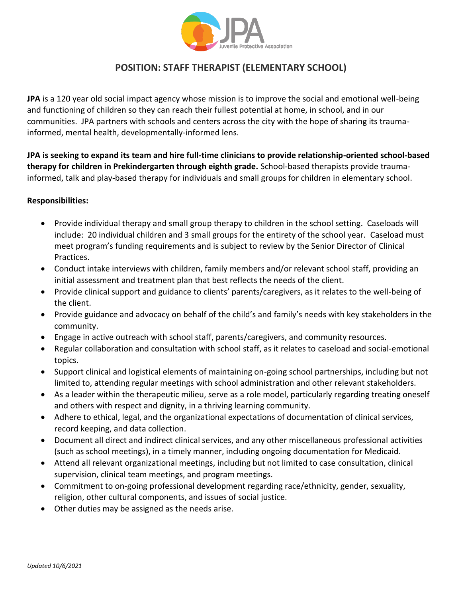

# **POSITION: STAFF THERAPIST (ELEMENTARY SCHOOL)**

**JPA** is a 120 year old social impact agency whose mission is to improve the social and emotional well-being and functioning of children so they can reach their fullest potential at home, in school, and in our communities. JPA partners with schools and centers across the city with the hope of sharing its traumainformed, mental health, developmentally-informed lens.

**JPA is seeking to expand its team and hire full-time clinicians to provide relationship-oriented school-based therapy for children in Prekindergarten through eighth grade.** School-based therapists provide traumainformed, talk and play-based therapy for individuals and small groups for children in elementary school.

## **Responsibilities:**

- Provide individual therapy and small group therapy to children in the school setting. Caseloads will include: 20 individual children and 3 small groups for the entirety of the school year. Caseload must meet program's funding requirements and is subject to review by the Senior Director of Clinical Practices.
- Conduct intake interviews with children, family members and/or relevant school staff, providing an initial assessment and treatment plan that best reflects the needs of the client.
- Provide clinical support and guidance to clients' parents/caregivers, as it relates to the well-being of the client.
- Provide guidance and advocacy on behalf of the child's and family's needs with key stakeholders in the community.
- Engage in active outreach with school staff, parents/caregivers, and community resources.
- Regular collaboration and consultation with school staff, as it relates to caseload and social-emotional topics.
- Support clinical and logistical elements of maintaining on-going school partnerships, including but not limited to, attending regular meetings with school administration and other relevant stakeholders.
- As a leader within the therapeutic milieu, serve as a role model, particularly regarding treating oneself and others with respect and dignity, in a thriving learning community.
- Adhere to ethical, legal, and the organizational expectations of documentation of clinical services, record keeping, and data collection.
- Document all direct and indirect clinical services, and any other miscellaneous professional activities (such as school meetings), in a timely manner, including ongoing documentation for Medicaid.
- Attend all relevant organizational meetings, including but not limited to case consultation, clinical supervision, clinical team meetings, and program meetings.
- Commitment to on-going professional development regarding race/ethnicity, gender, sexuality, religion, other cultural components, and issues of social justice.
- Other duties may be assigned as the needs arise.